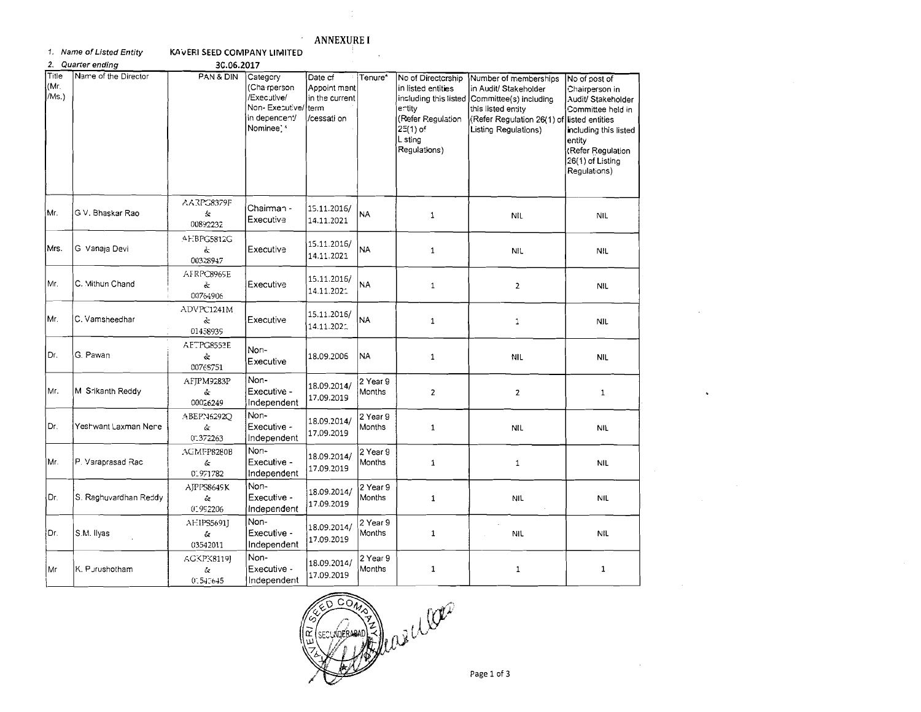## **ANNEXURE I**  $\langle \cdot \rangle$

an Bara

1. Name of Listed Entity

KAVERI SEED COMPANY LIMITED

| 2.                     | Quarter ending        | 30.06.2017                          |                                                                                          |                                                                  |                           |                                                                                                                |                                                                                                                                                                                            |                                                                                                                                                                        |
|------------------------|-----------------------|-------------------------------------|------------------------------------------------------------------------------------------|------------------------------------------------------------------|---------------------------|----------------------------------------------------------------------------------------------------------------|--------------------------------------------------------------------------------------------------------------------------------------------------------------------------------------------|------------------------------------------------------------------------------------------------------------------------------------------------------------------------|
| Title<br>(Mr.<br>/Ms.) | Name of the Director  | PAN & DIN                           | Category<br>(Cha rperson<br>/Executive/<br>Non-Executive/<br>in depencent/<br>Nominee' * | Date cf<br>Appoint ment<br>in the current<br>term<br>/cessati on | Tenure*                   | No of Directorship<br>in listed entities<br>ertity<br>(Refer Regulation<br>25(1) of<br>L sting<br>Regulations) | Number of memberships<br>in Audit/ Stakeholder<br>including this listed Committee(s) including<br>this listed entity<br>(Refer Regulation 26(1) of listed entities<br>Listing Regulations) | No of post of<br>Chairperson in<br>Audit/ Stakeholder<br>Committee held in<br>including this listed<br>entity<br>(Refer Regulation<br>26(1) of Listing<br>Regulations) |
| Mr.                    | G V. Bhaskar Rao      | AARC8379F<br>圡<br>00892232          | Chairman -<br>Executive                                                                  | 15.11.2016/<br>14.11.2021                                        | <b>NA</b>                 | $\mathbf{1}$                                                                                                   | <b>NIL</b>                                                                                                                                                                                 | <b>NIL</b>                                                                                                                                                             |
| Mrs.                   | G Vanaja Devi         | AEBPG5812G<br>Ġ.<br>00328947        | Executive                                                                                | 15.11.2016/<br>14.11.2021                                        | <b>NA</b>                 | $\mathbf{1}$                                                                                                   | <b>NIL</b>                                                                                                                                                                                 | <b>NIL</b>                                                                                                                                                             |
| Mr.                    | C. Mithun Chand       | AFRPC8969E<br>š.<br>00764906        | Executive                                                                                | 15.11.2016/<br>14.11.2021                                        | <b>NA</b>                 | $\mathbf{1}$                                                                                                   | $\overline{2}$                                                                                                                                                                             | <b>NIL</b>                                                                                                                                                             |
| Mr.                    | C. Vamsheedhar        | ADVPC1241M<br>ç.<br>01458939        | Executive                                                                                | 15.11.2016/<br>14.11.2021                                        | NA                        | $\mathbf{1}$                                                                                                   | 1                                                                                                                                                                                          | <b>NIL</b>                                                                                                                                                             |
| Dr.                    | G. Pawan              | AETPG8553E<br>ç.<br>00765751        | Non-<br>Executive                                                                        | 18.09.2006                                                       | <b>NA</b>                 | $\mathbf{1}$                                                                                                   | NIL                                                                                                                                                                                        | <b>NIL</b>                                                                                                                                                             |
| Mr.                    | M Srikanth Reddy      | <b>AFIPM9283P</b><br>ĝ.<br>00026249 | Non-<br>Executive -<br>Independent                                                       | 18.09.2014/<br>17.09.2019                                        | 2 Year 9<br><b>Months</b> | $\overline{2}$                                                                                                 | $\overline{2}$                                                                                                                                                                             | $\mathbf{1}$                                                                                                                                                           |
| Dr.                    | Yeshwant Laxman Nere  | ABEPN6292O<br>ç.<br>(1.372263)      | Non-<br>Executive -<br>Independent                                                       | 18.09.2014/<br>17.09.2019                                        | 2 Year 9<br>Months        | $\mathbf{1}$                                                                                                   | <b>NIL</b>                                                                                                                                                                                 | <b>NIL</b>                                                                                                                                                             |
| Mr.                    | P. Varaprasad Rac     | AGMFP8280B<br>άτ<br>01971782        | Non-<br>Executive -<br>Independent                                                       | 18.09.2014/<br>17.09.2019                                        | 2 Year 9<br>Months        | $\mathbf{1}$                                                                                                   | $\mathbf{1}$                                                                                                                                                                               | <b>NIL</b>                                                                                                                                                             |
| Dr.                    | S. Raghuvardhan Reddy | AIPPS8649K<br>$\alpha$<br>01992206  | Non-<br>Executive -<br>Independent                                                       | 18.09.2014/<br>17.09.2019                                        | 2 Year 9<br>Months        | $\mathbf{1}$                                                                                                   | <b>NIL</b>                                                                                                                                                                                 | <b>NIL</b>                                                                                                                                                             |
| Dr.                    | S.M. Ilyas            | AFIPS56911<br>Ĝ.<br>03542011        | Non-<br>Executive -<br>Independent                                                       | 18.09.2014/<br>17.09.2019                                        | 2 Year 9<br>Months        | $\mathbf{1}$                                                                                                   | J.<br><b>NIL</b>                                                                                                                                                                           | <b>NIL</b>                                                                                                                                                             |
| Mr                     | K. Purushotham        | AGKPK8119]<br>$\alpha$<br>0.543645  | Non-<br>Executive -<br>Independent                                                       | 18.09.2014/<br>17.09.2019                                        | 2 Year 9<br>Months        | $\mathbf{1}$                                                                                                   | $\mathbf{1}$                                                                                                                                                                               | $\mathbf{1}$                                                                                                                                                           |

ROBONNE De la CORO

 $\ddot{\phantom{a}}$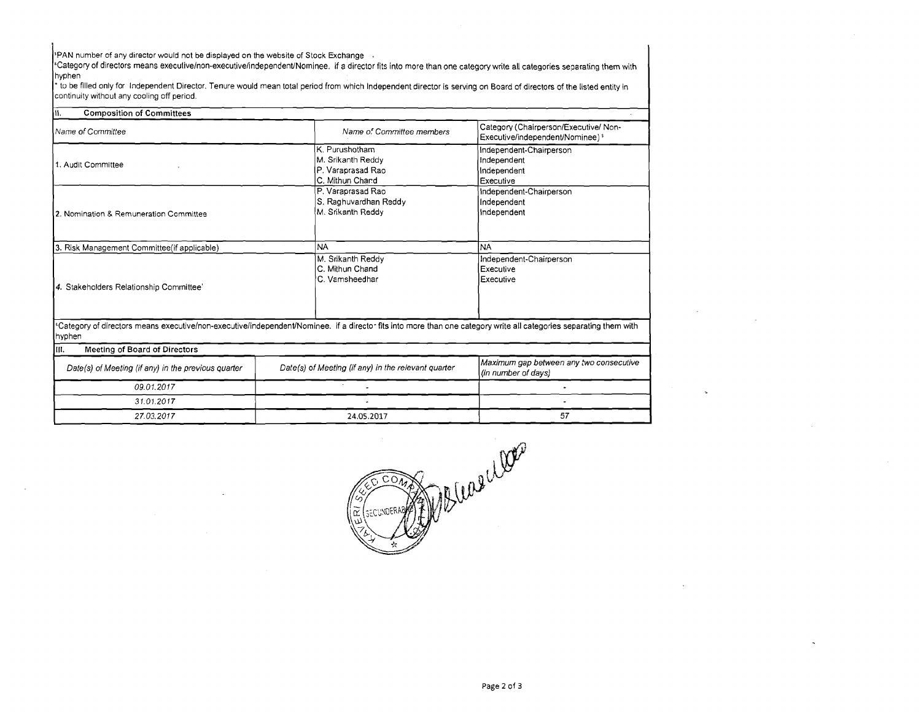27.03.2017

PAN number of any director would not be displayed on the website of Stock Exchange<br>"Category of directors means execulive/non-executive/independent/Nominee. if a director fits into more than one category write all categori hyphen

to be filled only for lndependent Director. Tenure would mean total period from which lndependent director is serving on Board of directors of the listed entity in continuity without any cooling off period.

| <b>Composition of Committees</b><br>l۱۱.            |                                                                                                                                                                    |                                                                                                                                                                                                                     |  |
|-----------------------------------------------------|--------------------------------------------------------------------------------------------------------------------------------------------------------------------|---------------------------------------------------------------------------------------------------------------------------------------------------------------------------------------------------------------------|--|
| Name of Committee                                   | Name of Committee members                                                                                                                                          | Category (Chairperson/Executive/ Non-<br>Executive/independent/Nominee) <sup>5</sup><br>Independent-Chairperson<br>Independent<br>Independent<br>Executive<br>Independent-Chairperson<br>Independent<br>independent |  |
| 1. Audit Committee                                  | K. Purushotham<br>M. Srikanth Reddy<br>P. Varaprasad Rao<br>C. Mithun Chand                                                                                        |                                                                                                                                                                                                                     |  |
| 2. Nomination & Remuneration Committee              | P. Varaprasad Rao<br>S. Raghuvardhan Reddy<br>M. Srikanth Reddy                                                                                                    |                                                                                                                                                                                                                     |  |
| 3. Risk Management Committee(if applicable)         | <b>NA</b>                                                                                                                                                          | <b>NA</b>                                                                                                                                                                                                           |  |
| 4. Stakeholders Relationship Committee'             | M. Srikanth Reddy<br>C. Mithun Chand<br>C. Vamsheedhar                                                                                                             | Independent-Chairperson<br>Executive<br>Executive                                                                                                                                                                   |  |
| hyphen                                              | *Category of directors means executive/non-executive/independent/Nominee. if a director fits into more than one category write all categories separating them with |                                                                                                                                                                                                                     |  |
| lm.<br>Meeting of Board of Directors                |                                                                                                                                                                    |                                                                                                                                                                                                                     |  |
| Date(s) of Meeting (if any) in the previous quarter | Date(s) of Meeting (if any) in the relevant quarter                                                                                                                | Maximum gap between any two consecutive<br>(in number of days)                                                                                                                                                      |  |
| 09.01.2017                                          |                                                                                                                                                                    |                                                                                                                                                                                                                     |  |
| 31.01.2017                                          |                                                                                                                                                                    |                                                                                                                                                                                                                     |  |

**24.05.2017** 



57